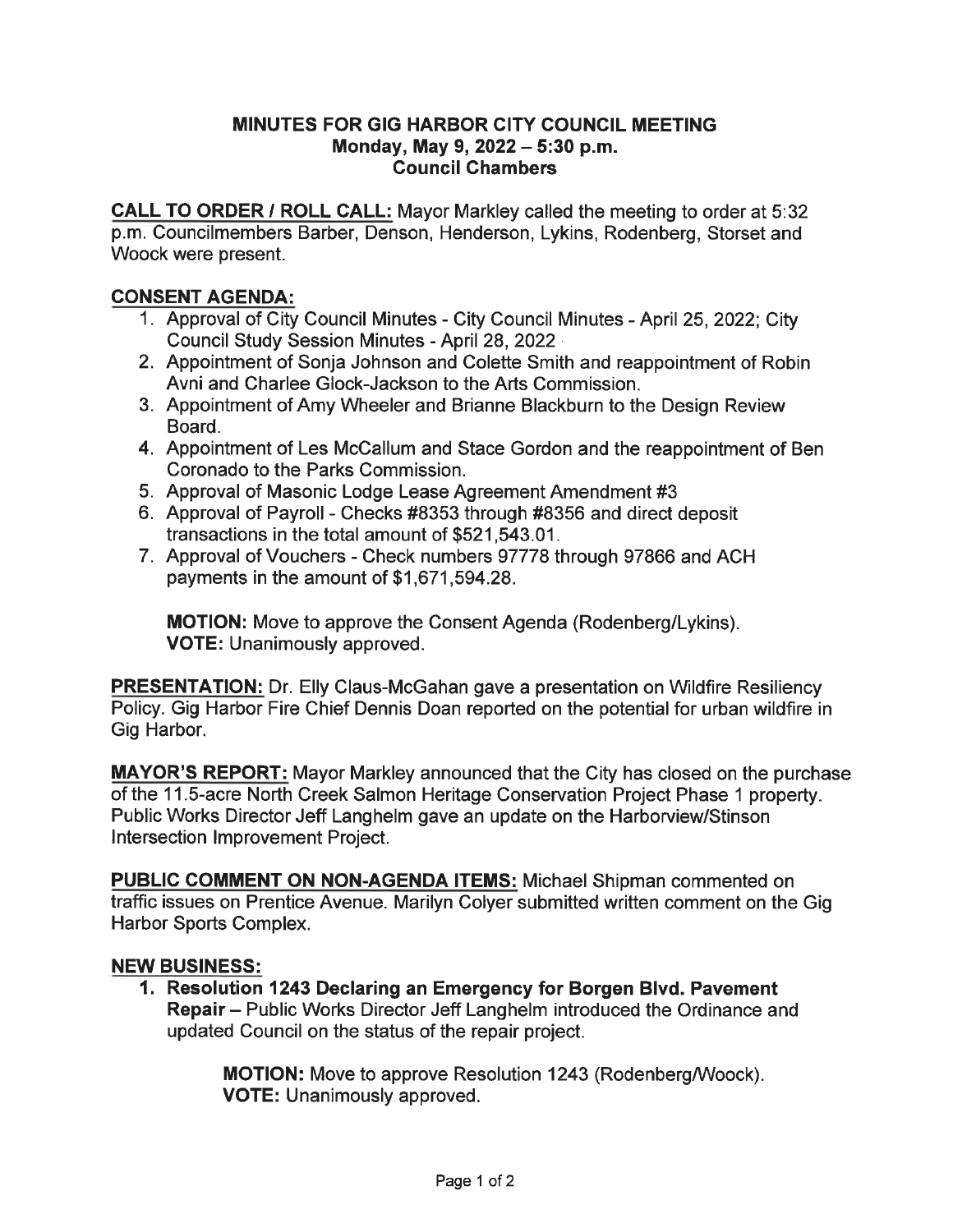## MINUTES FOR GIG HARBOR CITY COUNCIL MEETING Monday, May 9, 2022 - 5:30 p.m. Council Chambers

CALL TO ORDER / ROLL CALL: Mayor Markley called the meeting to order at 5:32 p.m. Councilmembers Barber, Denson, Henderson, Lykins, Rodenberg, Storset and Woock were present.

## CONSENT AGENDA:

- 1. Approval of City Council Minutes City Council Minutes April 25, 2022; City Council Study Session Minutes - April 28, 2022
- 2. Appointment of Sonja Johnson and Colette Smith and reappointment of Robin Avni and Charlee Glock-Jackson to the Arts Commission.
- 3. Appointment of Amy Wheeler and Brianne Blackburn to the Design Review Board.
- 4. Appointment of Les McCallum and Stace Gordon and the reappointment of Ben Coronado to the Parks Commission.
- 5. Approval of Masonic Lodge Lease Agreement Amendment #3
- 6. Approval of Payroll Checks #8353 through #8356 and direct deposit transactions in the total amount of \$521, 543. 01.
- 7. Approval of Vouchers Check numbers 97778 through 97866 and ACH payments in the amount of \$1,671,594.28.

MOTION: Move to approve the Consent Agenda (Rodenberg/Lykins). VOTE: Unanimously approved.

**PRESENTATION:** Dr. Elly Claus-McGahan gave a presentation on Wildfire Resiliency Policy. Gig Harbor Fire Chief Dennis Doan reported on the potential for urban wildfire in Gig Harbor.

MAYOR'S REPORT: Mayor Markley announced that the City has closed on the purchase of the 11. 5-acre North Creek Salmon Heritage Conservation Project Phase 1 property. Public Works Director Jeff Langhelm gave an update on the Harborview/Stinson Intersection Improvement Project.

PUBLIC COMMENT ON NON-AGENDA ITEMS: Michael Shipman commented on traffic issues on Prentice Avenue. Marilyn Colyer submitted written comment on the Gig Harbor Sports Complex.

## NEW BUSINESS:

1. Resolution 1243 Declaring an Emergency for Borgen Blvd. Pavement Repair - Public Works Director Jeff Langhelm introduced the Ordinance and updated Council on the status of the repair project.

> MOTION: Move to approve Resolution 1243 (Rodenberg/Woock). VOTE: Unanimously approved.